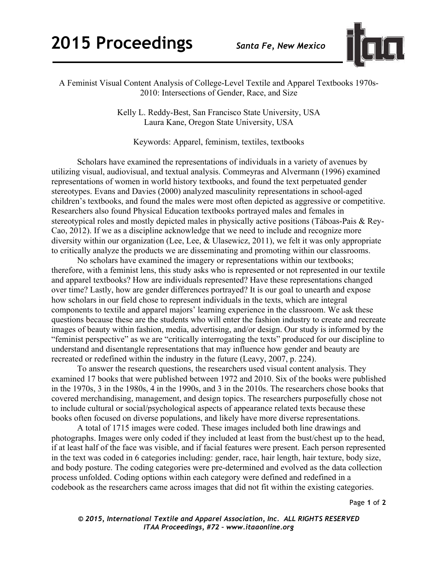

A Feminist Visual Content Analysis of College-Level Textile and Apparel Textbooks 1970s-2010: Intersections of Gender, Race, and Size

> Kelly L. Reddy-Best, San Francisco State University, USA Laura Kane, Oregon State University, USA

Keywords: Apparel, feminism, textiles, textbooks

Scholars have examined the representations of individuals in a variety of avenues by utilizing visual, audiovisual, and textual analysis. Commeyras and Alvermann (1996) examined representations of women in world history textbooks, and found the text perpetuated gender stereotypes. Evans and Davies (2000) analyzed masculinity representations in school-aged children's textbooks, and found the males were most often depicted as aggressive or competitive. Researchers also found Physical Education textbooks portrayed males and females in stereotypical roles and mostly depicted males in physically active positions (Táboas-Pais & Rey-Cao, 2012). If we as a discipline acknowledge that we need to include and recognize more diversity within our organization (Lee, Lee, & Ulasewicz, 2011), we felt it was only appropriate to critically analyze the products we are disseminating and promoting within our classrooms.

No scholars have examined the imagery or representations within our textbooks; therefore, with a feminist lens, this study asks who is represented or not represented in our textile and apparel textbooks? How are individuals represented? Have these representations changed over time? Lastly, how are gender differences portrayed? It is our goal to unearth and expose how scholars in our field chose to represent individuals in the texts, which are integral components to textile and apparel majors' learning experience in the classroom. We ask these questions because these are the students who will enter the fashion industry to create and recreate images of beauty within fashion, media, advertising, and/or design. Our study is informed by the "feminist perspective" as we are "critically interrogating the texts" produced for our discipline to understand and disentangle representations that may influence how gender and beauty are recreated or redefined within the industry in the future (Leavy, 2007, p. 224).

To answer the research questions, the researchers used visual content analysis. They examined 17 books that were published between 1972 and 2010. Six of the books were published in the 1970s, 3 in the 1980s, 4 in the 1990s, and 3 in the 2010s. The researchers chose books that covered merchandising, management, and design topics. The researchers purposefully chose not to include cultural or social/psychological aspects of appearance related texts because these books often focused on diverse populations, and likely have more diverse representations.

A total of 1715 images were coded. These images included both line drawings and photographs. Images were only coded if they included at least from the bust/chest up to the head, if at least half of the face was visible, and if facial features were present. Each person represented in the text was coded in 6 categories including: gender, race, hair length, hair texture, body size, and body posture. The coding categories were pre-determined and evolved as the data collection process unfolded. Coding options within each category were defined and redefined in a codebook as the researchers came across images that did not fit within the existing categories.